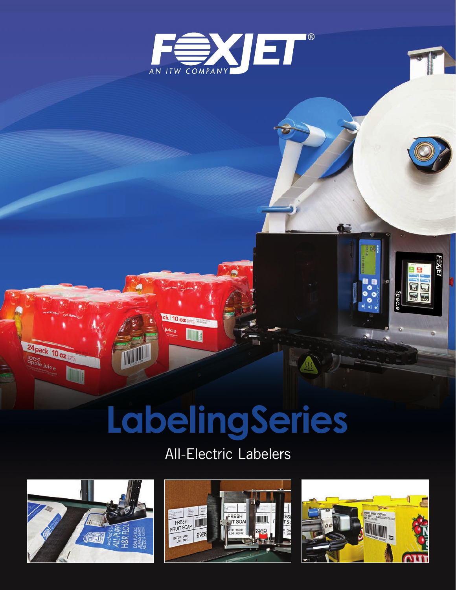

# LabelingSeries

 $k$  10 oz

**I** 

## All-Electric Labelers



24 pack 10 oz OO<sub>%</sub><br><sup>OO%</sup><br><sup>OO%</sup>





Ö.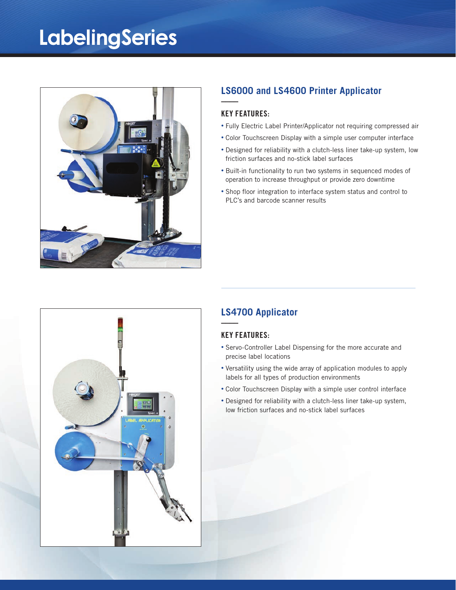# **LabelingSeries**



## **LS6000 and LS4600 Printer Applicator**

### KEY FEATURES:

**––––**

- Fully Electric Label Printer/Applicator not requiring compressed air
- Color Touchscreen Display with a simple user computer interface
- Designed for reliability with a clutch-less liner take-up system, low friction surfaces and no-stick label surfaces
- Built-in functionality to run two systems in sequenced modes of operation to increase throughput or provide zero downtime
- Shop floor integration to interface system status and control to PLC's and barcode scanner results



## **LS4700 Applicator**

### KEY FEATURES:

**––––**

- Servo-Controller Label Dispensing for the more accurate and precise label locations
- Versatility using the wide array of application modules to apply labels for all types of production environments
- Color Touchscreen Display with a simple user control interface
- Designed for reliability with a clutch-less liner take-up system, low friction surfaces and no-stick label surfaces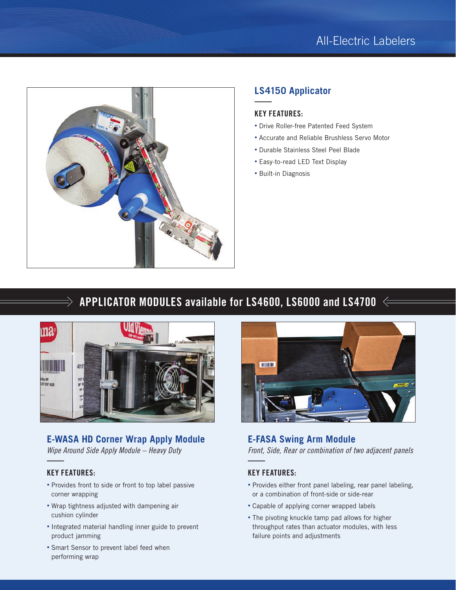

## **LS4150 Applicator**

### KEY FEATURES:

**––––**

- Drive Roller-free Patented Feed System
- Accurate and Reliable Brushless Servo Motor
- Durable Stainless Steel Peel Blade
- Easy-to-read LED Text Display
- Built-in Diagnosis

## APPLICATOR MODULES available for LS4600, LS6000 and LS4700  $\Leftarrow$



## **E-WASA HD Corner Wrap Apply Module**

*Wipe Around Side Apply Module – Heavy Duty*

## KEY FEATURES:

 $\Rightarrow$ 

**––––**

- Provides front to side or front to top label passive corner wrapping
- Wrap tightness adjusted with dampening air cushion cylinder
- Integrated material handling inner guide to prevent product jamming
- Smart Sensor to prevent label feed when performing wrap



## **E-FASA Swing Arm Module** *Front, Side, Rear or combination of two adjacent panels* **––––**

## KEY FEATURES:

- Provides either front panel labeling, rear panel labeling, or a combination of front-side or side-rear
- Capable of applying corner wrapped labels
- The pivoting knuckle tamp pad allows for higher throughput rates than actuator modules, with less failure points and adjustments